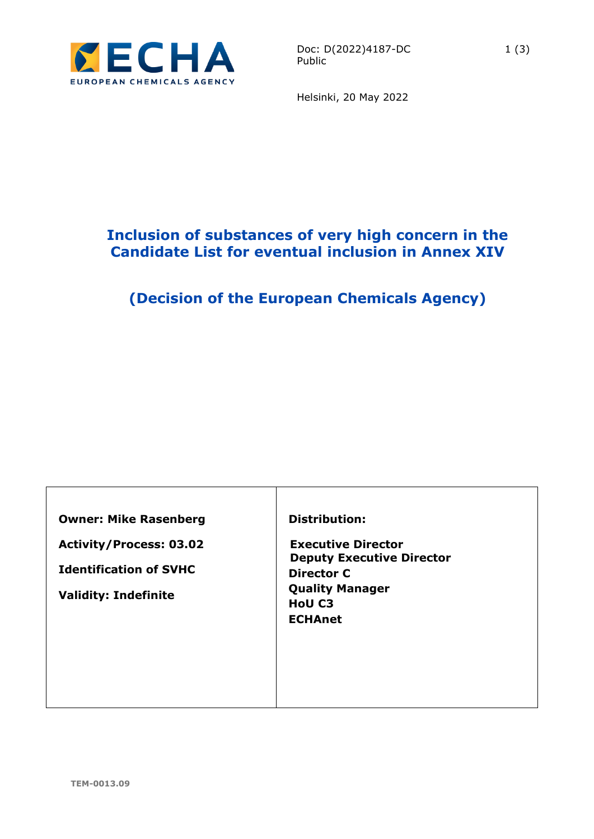

Helsinki, 20 May 2022

## **Inclusion of substances of very high concern in the Candidate List for eventual inclusion in Annex XIV**

# **(Decision of the European Chemicals Agency)**

**Owner: Mike Rasenberg**

**Activity/Process: 03.02**

**Identification of SVHC**

**Validity: Indefinite**

#### **Distribution:**

**Executive Director Deputy Executive Director Director C Quality Manager HoU C3 ECHAnet**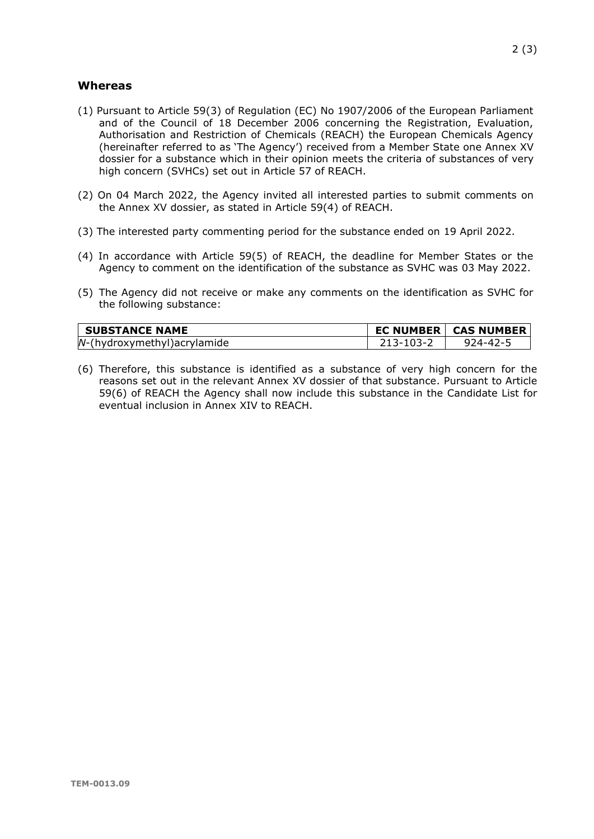#### **Whereas**

- (1) Pursuant to Article 59(3) of Regulation (EC) No 1907/2006 of the European Parliament and of the Council of 18 December 2006 concerning the Registration, Evaluation, Authorisation and Restriction of Chemicals (REACH) the European Chemicals Agency (hereinafter referred to as 'The Agency') received from a Member State one Annex XV dossier for a substance which in their opinion meets the criteria of substances of very high concern (SVHCs) set out in Article 57 of REACH.
- (2) On 04 March 2022, the Agency invited all interested parties to submit comments on the Annex XV dossier, as stated in Article 59(4) of REACH.
- (3) The interested party commenting period for the substance ended on 19 April 2022.
- (4) In accordance with Article 59(5) of REACH, the deadline for Member States or the Agency to comment on the identification of the substance as SVHC was 03 May 2022.
- (5) The Agency did not receive or make any comments on the identification as SVHC for the following substance:

| <b>SUBSTANCE NAME</b>        |           | <b>EC NUMBER   CAS NUMBER</b> |
|------------------------------|-----------|-------------------------------|
| N-(hydroxymethyl) acrylamide | 213-103-2 | $924 - 42 - 5$                |

(6) Therefore, this substance is identified as a substance of very high concern for the reasons set out in the relevant Annex XV dossier of that substance. Pursuant to Article 59(6) of REACH the Agency shall now include this substance in the Candidate List for eventual inclusion in Annex XIV to REACH.